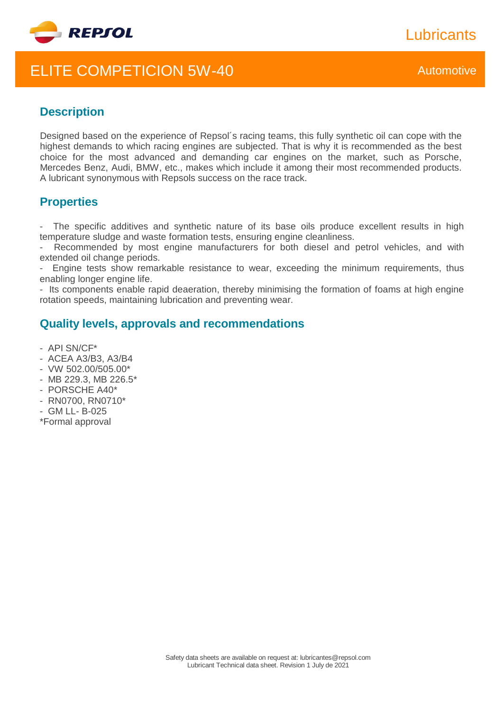

# ELITE COMPETICION 5W-40 Automotive

**Lubricants** 

## **Description**

Designed based on the experience of Repsol´s racing teams, this fully synthetic oil can cope with the highest demands to which racing engines are subjected. That is why it is recommended as the best choice for the most advanced and demanding car engines on the market, such as Porsche, Mercedes Benz, Audi, BMW, etc., makes which include it among their most recommended products. A lubricant synonymous with Repsols success on the race track.

## **Properties**

The specific additives and synthetic nature of its base oils produce excellent results in high temperature sludge and waste formation tests, ensuring engine cleanliness.

Recommended by most engine manufacturers for both diesel and petrol vehicles, and with extended oil change periods.

Engine tests show remarkable resistance to wear, exceeding the minimum requirements, thus enabling longer engine life.

- Its components enable rapid deaeration, thereby minimising the formation of foams at high engine rotation speeds, maintaining lubrication and preventing wear.

### **Quality levels, approvals and recommendations**

- API SN/CF\*
- ACEA A3/B3, A3/B4
- VW 502.00/505.00\*
- MB 229.3, MB 226.5\*
- PORSCHE A40\*
- RN0700, RN0710\*
- GM LL- B-025
- \*Formal approval